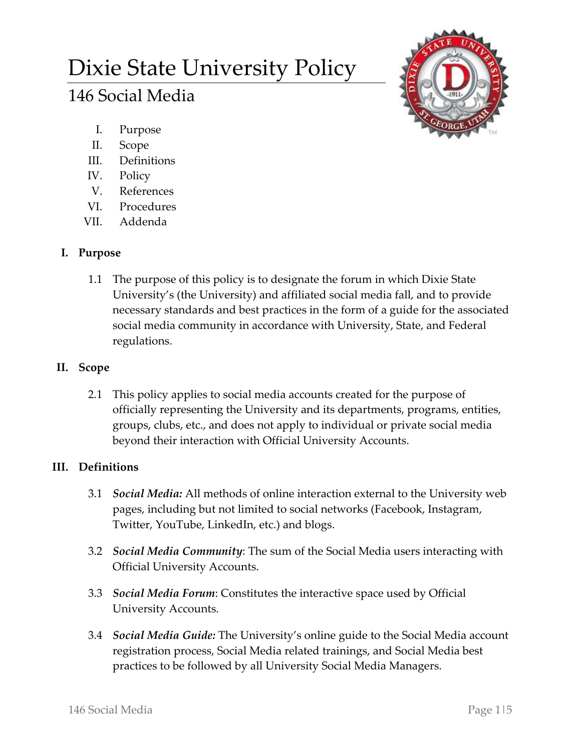# Dixie State University Policy

# 146 Social Media



- I. Purpose
- II. Scope
- III. Definitions
- IV. Policy
- V. References
- VI. Procedures
- VII. Addenda

## **I. Purpose**

1.1 The purpose of this policy is to designate the forum in which Dixie State University's (the University) and affiliated social media fall, and to provide necessary standards and best practices in the form of a guide for the associated social media community in accordance with University, State, and Federal regulations.

## **II. Scope**

2.1 This policy applies to social media accounts created for the purpose of officially representing the University and its departments, programs, entities, groups, clubs, etc., and does not apply to individual or private social media beyond their interaction with Official University Accounts.

# **III. Definitions**

- 3.1 *Social Media:* All methods of online interaction external to the University web pages, including but not limited to social networks (Facebook, Instagram, Twitter, YouTube, LinkedIn, etc.) and blogs.
- 3.2 *Social Media Community*: The sum of the Social Media users interacting with Official University Accounts.
- 3.3 *Social Media Forum*: Constitutes the interactive space used by Official University Accounts.
- 3.4 *Social Media Guide:* The University's online guide to the Social Media account registration process, Social Media related trainings, and Social Media best practices to be followed by all University Social Media Managers.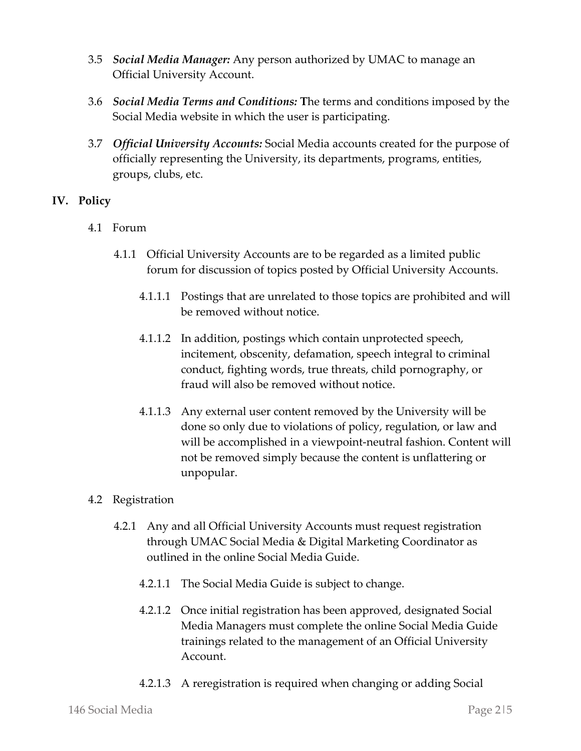- 3.5 *Social Media Manager:* Any person authorized by UMAC to manage an Official University Account.
- 3.6 *Social Media Terms and Conditions:* **T**he terms and conditions imposed by the Social Media website in which the user is participating.
- 3.7 *Official University Accounts:* Social Media accounts created for the purpose of officially representing the University, its departments, programs, entities, groups, clubs, etc.

#### **IV. Policy**

- 4.1 Forum
	- 4.1.1 Official University Accounts are to be regarded as a limited public forum for discussion of topics posted by Official University Accounts.
		- 4.1.1.1 Postings that are unrelated to those topics are prohibited and will be removed without notice.
		- 4.1.1.2 In addition, postings which contain unprotected speech, incitement, obscenity, defamation, speech integral to criminal conduct, fighting words, true threats, child pornography, or fraud will also be removed without notice.
		- 4.1.1.3 Any external user content removed by the University will be done so only due to violations of policy, regulation, or law and will be accomplished in a viewpoint-neutral fashion. Content will not be removed simply because the content is unflattering or unpopular.

#### 4.2 Registration

- 4.2.1 Any and all Official University Accounts must request registration through UMAC Social Media & Digital Marketing Coordinator as outlined in the online Social Media Guide.
	- 4.2.1.1 The Social Media Guide is subject to change.
	- 4.2.1.2 Once initial registration has been approved, designated Social Media Managers must complete the online Social Media Guide trainings related to the management of an Official University Account.
	- 4.2.1.3 A reregistration is required when changing or adding Social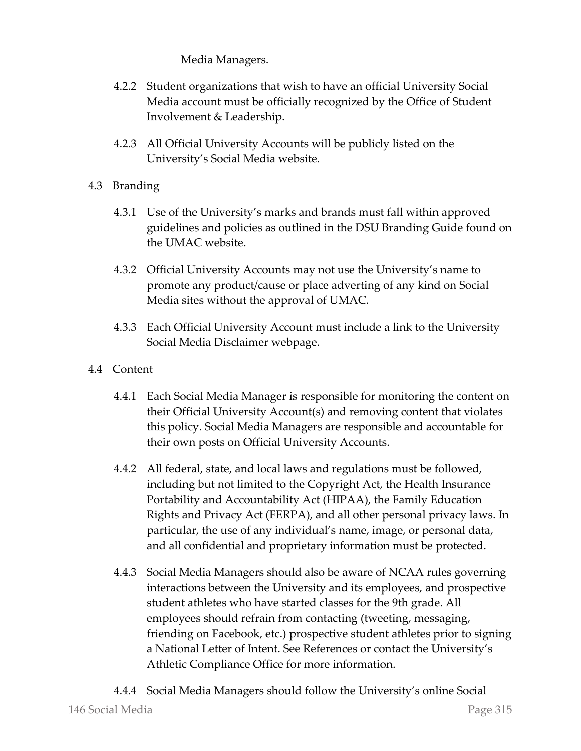Media Managers.

- 4.2.2 Student organizations that wish to have an official University Social Media account must be officially recognized by the Office of Student Involvement & Leadership.
- 4.2.3 All Official University Accounts will be publicly listed on the University's Social Media website.
- 4.3 Branding
	- 4.3.1 Use of the University's marks and brands must fall within approved guidelines and policies as outlined in the DSU Branding Guide found on the UMAC website.
	- 4.3.2 Official University Accounts may not use the University's name to promote any product/cause or place adverting of any kind on Social Media sites without the approval of UMAC.
	- 4.3.3 Each Official University Account must include a link to the University Social Media Disclaimer webpage.
- 4.4 Content
	- 4.4.1 Each Social Media Manager is responsible for monitoring the content on their Official University Account(s) and removing content that violates this policy. Social Media Managers are responsible and accountable for their own posts on Official University Accounts.
	- 4.4.2 All federal, state, and local laws and regulations must be followed, including but not limited to the Copyright Act, the Health Insurance Portability and Accountability Act (HIPAA), the Family Education Rights and Privacy Act (FERPA), and all other personal privacy laws. In particular, the use of any individual's name, image, or personal data, and all confidential and proprietary information must be protected.
	- 4.4.3 Social Media Managers should also be aware of NCAA rules governing interactions between the University and its employees, and prospective student athletes who have started classes for the 9th grade. All employees should refrain from contacting (tweeting, messaging, friending on Facebook, etc.) prospective student athletes prior to signing a National Letter of Intent. See References or contact the University's Athletic Compliance Office for more information.
	- 4.4.4 Social Media Managers should follow the University's online Social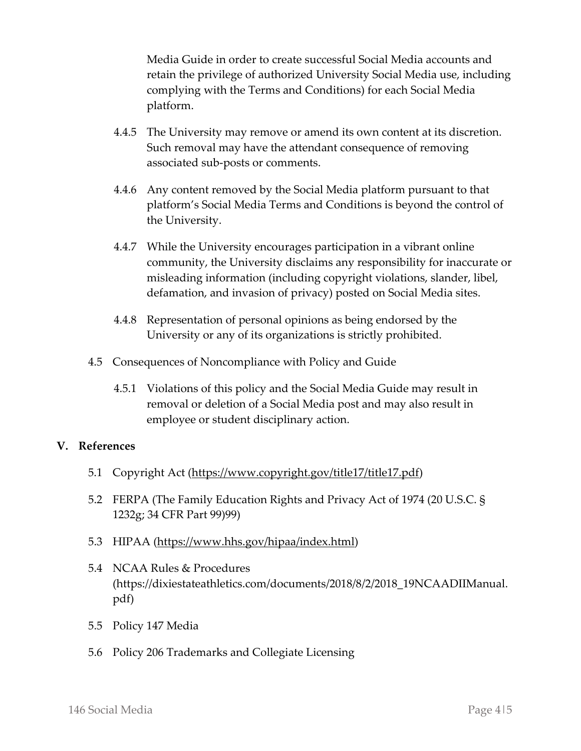Media Guide in order to create successful Social Media accounts and retain the privilege of authorized University Social Media use, including complying with the Terms and Conditions) for each Social Media platform.

- 4.4.5 The University may remove or amend its own content at its discretion. Such removal may have the attendant consequence of removing associated sub-posts or comments.
- 4.4.6 Any content removed by the Social Media platform pursuant to that platform's Social Media Terms and Conditions is beyond the control of the University.
- 4.4.7 While the University encourages participation in a vibrant online community, the University disclaims any responsibility for inaccurate or misleading information (including copyright violations, slander, libel, defamation, and invasion of privacy) posted on Social Media sites.
- 4.4.8 Representation of personal opinions as being endorsed by the University or any of its organizations is strictly prohibited.
- 4.5 Consequences of Noncompliance with Policy and Guide
	- 4.5.1 Violations of this policy and the Social Media Guide may result in removal or deletion of a Social Media post and may also result in employee or student disciplinary action.

#### **V. References**

- 5.1 Copyright Act [\(https://www.copyright.gov/title17/title17.pdf\)](https://www.copyright.gov/title17/title17.pdf)
- 5.2 FERPA (The Family Education Rights and Privacy Act of 1974 (20 U.S.C. § 1232g; 34 CFR Part 99)99)
- 5.3 HIPAA [\(https://www.hhs.gov/hipaa/index.html\)](https://www.hhs.gov/hipaa/index.html)
- 5.4 NCAA Rules & Procedures (https://dixiestateathletics.com/documents/2018/8/2/2018\_19NCAADIIManual. pdf)
- 5.5 Policy 147 Media
- 5.6 Policy 206 Trademarks and Collegiate Licensing